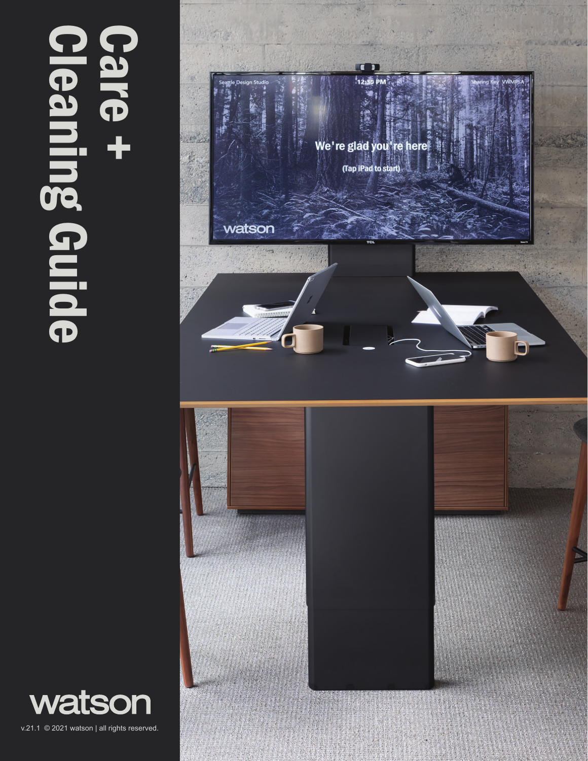# Cleaning Guide Care +<br>
+ 9 ming Guide



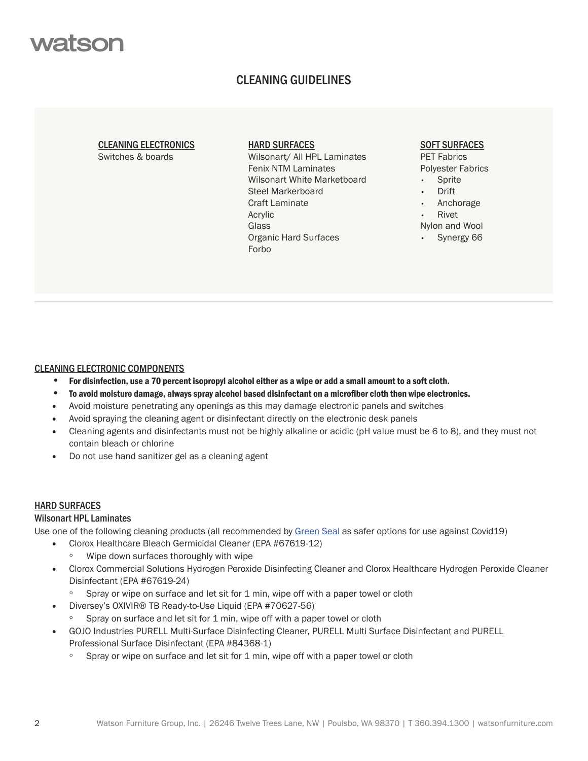

# CLEANING GUIDELINES

#### CLEANING ELECTRONICS Switches & boards

#### HARD SURFACES

Wilsonart/ All HPL Laminates Fenix NTM Laminates Wilsonart White Marketboard Steel Markerboard Craft Laminate Acrylic **Glass** Organic Hard Surfaces Forbo

# SOFT SURFACES

PET Fabrics Polyester Fabrics

- **Sprite**
- Drift
- Anchorage
- Rivet
- Nylon and Wool Synergy 66

# CLEANING ELECTRONIC COMPONENTS

- For disinfection, use a 70 percent isopropyl alcohol either as a wipe or add a small amount to a soft cloth.
- To avoid moisture damage, always spray alcohol based disinfectant on a microfiber cloth then wipe electronics.
- Avoid moisture penetrating any openings as this may damage electronic panels and switches
- Avoid spraying the cleaning agent or disinfectant directly on the electronic desk panels
- Cleaning agents and disinfectants must not be highly alkaline or acidic (pH value must be 6 to 8), and they must not contain bleach or chlorine
- Do not use hand sanitizer gel as a cleaning agent

## HARD SURFACES

## Wilsonart HPL Laminates

Use one of the following cleaning products (all recommended by Green Seal as safer options for use against Covid19)

- Clorox Healthcare Bleach Germicidal Cleaner (EPA #67619-12)
	- Wipe down surfaces thoroughly with wipe
- Clorox Commercial Solutions Hydrogen Peroxide Disinfecting Cleaner and Clorox Healthcare Hydrogen Peroxide Cleaner Disinfectant (EPA #67619-24)
	- Spray or wipe on surface and let sit for 1 min, wipe off with a paper towel or cloth
- Diversey's OXIVIR® TB Ready-to-Use Liquid (EPA #70627-56)
	- Spray on surface and let sit for 1 min, wipe off with a paper towel or cloth
- GOJO Industries PURELL Multi-Surface Disinfecting Cleaner, PURELL Multi Surface Disinfectant and PURELL Professional Surface Disinfectant (EPA #84368-1)
	- Spray or wipe on surface and let sit for 1 min, wipe off with a paper towel or cloth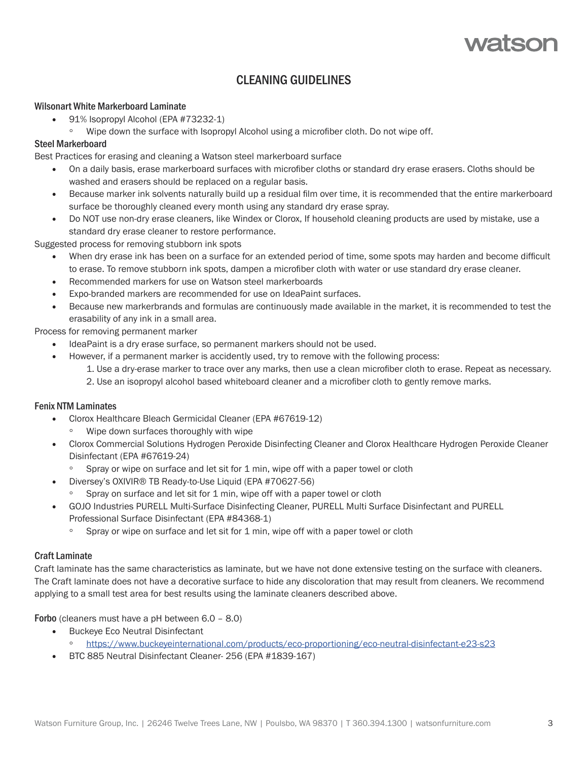# CLEANING GUIDELINES

# Wilsonart White Markerboard Laminate

- 91% Isopropyl Alcohol (EPA #73232-1)
	- Wipe down the surface with Isopropyl Alcohol using a microfiber cloth. Do not wipe off.

# Steel Markerboard

Best Practices for erasing and cleaning a Watson steel markerboard surface

- On a daily basis, erase markerboard surfaces with microfiber cloths or standard dry erase erasers. Cloths should be washed and erasers should be replaced on a regular basis.
- Because marker ink solvents naturally build up a residual film over time, it is recommended that the entire markerboard surface be thoroughly cleaned every month using any standard dry erase spray.
- Do NOT use non-dry erase cleaners, like Windex or Clorox, If household cleaning products are used by mistake, use a standard dry erase cleaner to restore performance.

Suggested process for removing stubborn ink spots

- When dry erase ink has been on a surface for an extended period of time, some spots may harden and become difficult to erase. To remove stubborn ink spots, dampen a microfiber cloth with water or use standard dry erase cleaner.
- Recommended markers for use on Watson steel markerboards
- Expo-branded markers are recommended for use on IdeaPaint surfaces.
- Because new markerbrands and formulas are continuously made available in the market, it is recommended to test the erasability of any ink in a small area.

Process for removing permanent marker

- IdeaPaint is a dry erase surface, so permanent markers should not be used.
- However, if a permanent marker is accidently used, try to remove with the following process: 1. Use a dry-erase marker to trace over any marks, then use a clean microfiber cloth to erase. Repeat as necessary.
	- 2. Use an isopropyl alcohol based whiteboard cleaner and a microfiber cloth to gently remove marks.

## Fenix NTM Laminates

- Clorox Healthcare Bleach Germicidal Cleaner (EPA #67619-12)
	- Wipe down surfaces thoroughly with wipe
- Clorox Commercial Solutions Hydrogen Peroxide Disinfecting Cleaner and Clorox Healthcare Hydrogen Peroxide Cleaner Disinfectant (EPA #67619-24)
	- Spray or wipe on surface and let sit for 1 min, wipe off with a paper towel or cloth
- Diversey's OXIVIR® TB Ready-to-Use Liquid (EPA #70627-56)
	- Spray on surface and let sit for 1 min, wipe off with a paper towel or cloth
- GOJO Industries PURELL Multi-Surface Disinfecting Cleaner, PURELL Multi Surface Disinfectant and PURELL Professional Surface Disinfectant (EPA #84368-1)
	- Spray or wipe on surface and let sit for 1 min, wipe off with a paper towel or cloth

# Craft Laminate

Craft laminate has the same characteristics as laminate, but we have not done extensive testing on the surface with cleaners. The Craft laminate does not have a decorative surface to hide any discoloration that may result from cleaners. We recommend applying to a small test area for best results using the laminate cleaners described above.

Forbo (cleaners must have a pH between 6.0 – 8.0)

- Buckeye Eco Neutral Disinfectant
	- https://www.buckeyeinternational.com/products/eco-proportioning/eco-neutral-disinfectant-e23-s23
- BTC 885 Neutral Disinfectant Cleaner- 256 (EPA #1839-167)